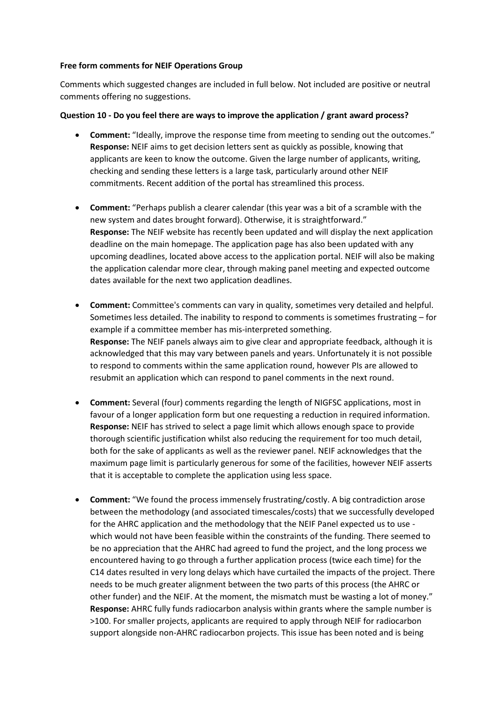# **Free form comments for NEIF Operations Group**

Comments which suggested changes are included in full below. Not included are positive or neutral comments offering no suggestions.

# **Question 10 - Do you feel there are ways to improve the application / grant award process?**

- **Comment:** "Ideally, improve the response time from meeting to sending out the outcomes." **Response:** NEIF aims to get decision letters sent as quickly as possible, knowing that applicants are keen to know the outcome. Given the large number of applicants, writing, checking and sending these letters is a large task, particularly around other NEIF commitments. Recent addition of the portal has streamlined this process.
- **Comment:** "Perhaps publish a clearer calendar (this year was a bit of a scramble with the new system and dates brought forward). Otherwise, it is straightforward." **Response:** The NEIF website has recently been updated and will display the next application deadline on the main homepage. The application page has also been updated with any upcoming deadlines, located above access to the application portal. NEIF will also be making the application calendar more clear, through making panel meeting and expected outcome dates available for the next two application deadlines.
- **Comment:** Committee's comments can vary in quality, sometimes very detailed and helpful. Sometimes less detailed. The inability to respond to comments is sometimes frustrating – for example if a committee member has mis-interpreted something. **Response:** The NEIF panels always aim to give clear and appropriate feedback, although it is acknowledged that this may vary between panels and years. Unfortunately it is not possible to respond to comments within the same application round, however PIs are allowed to resubmit an application which can respond to panel comments in the next round.
- **Comment:** Several (four) comments regarding the length of NIGFSC applications, most in favour of a longer application form but one requesting a reduction in required information. **Response:** NEIF has strived to select a page limit which allows enough space to provide thorough scientific justification whilst also reducing the requirement for too much detail, both for the sake of applicants as well as the reviewer panel. NEIF acknowledges that the maximum page limit is particularly generous for some of the facilities, however NEIF asserts that it is acceptable to complete the application using less space.
- **Comment:** "We found the process immensely frustrating/costly. A big contradiction arose between the methodology (and associated timescales/costs) that we successfully developed for the AHRC application and the methodology that the NEIF Panel expected us to use which would not have been feasible within the constraints of the funding. There seemed to be no appreciation that the AHRC had agreed to fund the project, and the long process we encountered having to go through a further application process (twice each time) for the C14 dates resulted in very long delays which have curtailed the impacts of the project. There needs to be much greater alignment between the two parts of this process (the AHRC or other funder) and the NEIF. At the moment, the mismatch must be wasting a lot of money." **Response:** AHRC fully funds radiocarbon analysis within grants where the sample number is >100. For smaller projects, applicants are required to apply through NEIF for radiocarbon support alongside non-AHRC radiocarbon projects. This issue has been noted and is being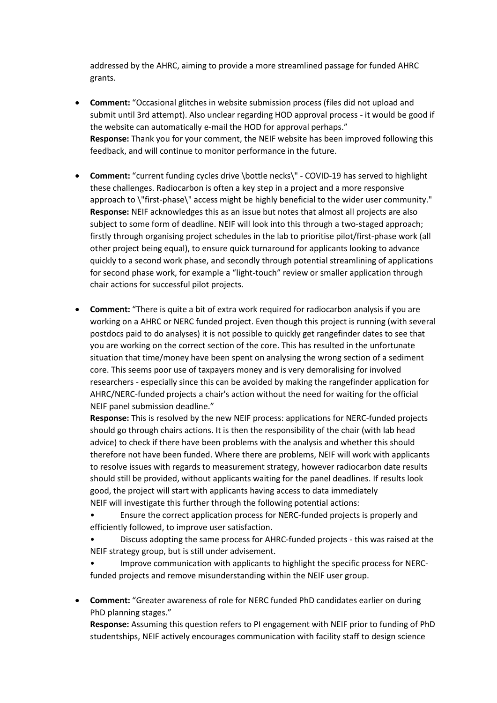addressed by the AHRC, aiming to provide a more streamlined passage for funded AHRC grants.

- **Comment:** "Occasional glitches in website submission process (files did not upload and submit until 3rd attempt). Also unclear regarding HOD approval process - it would be good if the website can automatically e-mail the HOD for approval perhaps." **Response:** Thank you for your comment, the NEIF website has been improved following this feedback, and will continue to monitor performance in the future.
- **Comment:** "current funding cycles drive \bottle necks\" COVID-19 has served to highlight these challenges. Radiocarbon is often a key step in a project and a more responsive approach to \"first-phase\" access might be highly beneficial to the wider user community." **Response:** NEIF acknowledges this as an issue but notes that almost all projects are also subject to some form of deadline. NEIF will look into this through a two-staged approach; firstly through organising project schedules in the lab to prioritise pilot/first-phase work (all other project being equal), to ensure quick turnaround for applicants looking to advance quickly to a second work phase, and secondly through potential streamlining of applications for second phase work, for example a "light-touch" review or smaller application through chair actions for successful pilot projects.
- **Comment:** "There is quite a bit of extra work required for radiocarbon analysis if you are working on a AHRC or NERC funded project. Even though this project is running (with several postdocs paid to do analyses) it is not possible to quickly get rangefinder dates to see that you are working on the correct section of the core. This has resulted in the unfortunate situation that time/money have been spent on analysing the wrong section of a sediment core. This seems poor use of taxpayers money and is very demoralising for involved researchers - especially since this can be avoided by making the rangefinder application for AHRC/NERC-funded projects a chair's action without the need for waiting for the official NEIF panel submission deadline."

**Response:** This is resolved by the new NEIF process: applications for NERC-funded projects should go through chairs actions. It is then the responsibility of the chair (with lab head advice) to check if there have been problems with the analysis and whether this should therefore not have been funded. Where there are problems, NEIF will work with applicants to resolve issues with regards to measurement strategy, however radiocarbon date results should still be provided, without applicants waiting for the panel deadlines. If results look good, the project will start with applicants having access to data immediately NEIF will investigate this further through the following potential actions:

• Ensure the correct application process for NERC-funded projects is properly and efficiently followed, to improve user satisfaction.

• Discuss adopting the same process for AHRC-funded projects - this was raised at the NEIF strategy group, but is still under advisement.

• Improve communication with applicants to highlight the specific process for NERCfunded projects and remove misunderstanding within the NEIF user group.

• **Comment:** "Greater awareness of role for NERC funded PhD candidates earlier on during PhD planning stages."

**Response:** Assuming this question refers to PI engagement with NEIF prior to funding of PhD studentships, NEIF actively encourages communication with facility staff to design science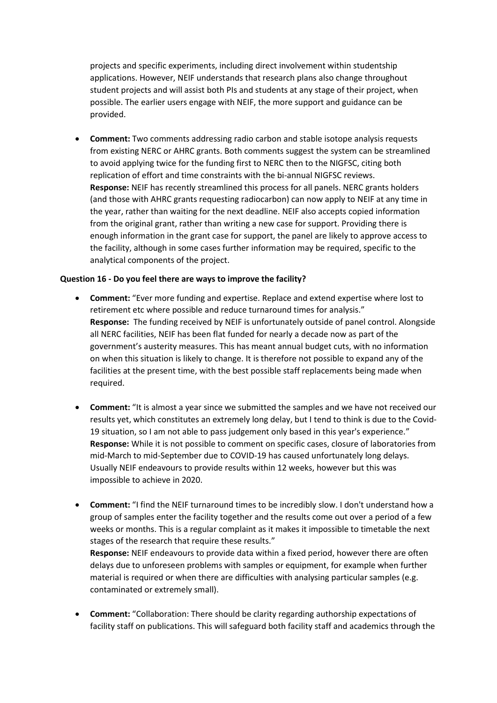projects and specific experiments, including direct involvement within studentship applications. However, NEIF understands that research plans also change throughout student projects and will assist both PIs and students at any stage of their project, when possible. The earlier users engage with NEIF, the more support and guidance can be provided.

• **Comment:** Two comments addressing radio carbon and stable isotope analysis requests from existing NERC or AHRC grants. Both comments suggest the system can be streamlined to avoid applying twice for the funding first to NERC then to the NIGFSC, citing both replication of effort and time constraints with the bi-annual NIGFSC reviews. **Response:** NEIF has recently streamlined this process for all panels. NERC grants holders (and those with AHRC grants requesting radiocarbon) can now apply to NEIF at any time in the year, rather than waiting for the next deadline. NEIF also accepts copied information from the original grant, rather than writing a new case for support. Providing there is enough information in the grant case for support, the panel are likely to approve access to the facility, although in some cases further information may be required, specific to the analytical components of the project.

# **Question 16 - Do you feel there are ways to improve the facility?**

- **Comment:** "Ever more funding and expertise. Replace and extend expertise where lost to retirement etc where possible and reduce turnaround times for analysis." **Response:** The funding received by NEIF is unfortunately outside of panel control. Alongside all NERC facilities, NEIF has been flat funded for nearly a decade now as part of the government's austerity measures. This has meant annual budget cuts, with no information on when this situation is likely to change. It is therefore not possible to expand any of the facilities at the present time, with the best possible staff replacements being made when required.
- **Comment:** "It is almost a year since we submitted the samples and we have not received our results yet, which constitutes an extremely long delay, but I tend to think is due to the Covid-19 situation, so I am not able to pass judgement only based in this year's experience." **Response:** While it is not possible to comment on specific cases, closure of laboratories from mid-March to mid-September due to COVID-19 has caused unfortunately long delays. Usually NEIF endeavours to provide results within 12 weeks, however but this was impossible to achieve in 2020.
- **Comment:** "I find the NEIF turnaround times to be incredibly slow. I don't understand how a group of samples enter the facility together and the results come out over a period of a few weeks or months. This is a regular complaint as it makes it impossible to timetable the next stages of the research that require these results." **Response:** NEIF endeavours to provide data within a fixed period, however there are often delays due to unforeseen problems with samples or equipment, for example when further

material is required or when there are difficulties with analysing particular samples (e.g. contaminated or extremely small).

• **Comment:** "Collaboration: There should be clarity regarding authorship expectations of facility staff on publications. This will safeguard both facility staff and academics through the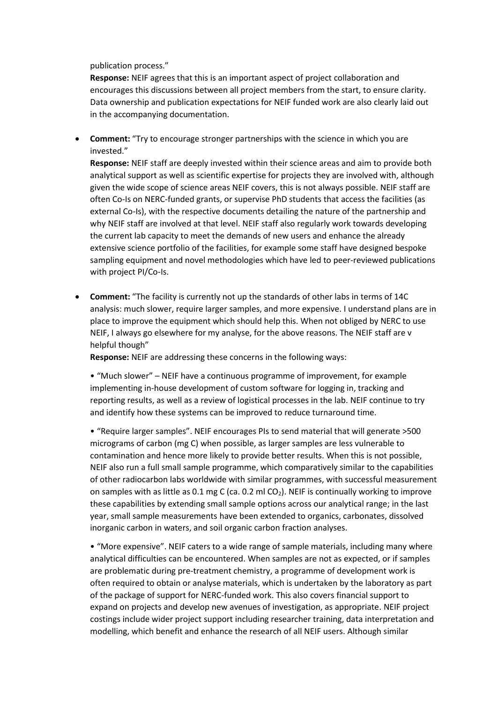publication process."

**Response:** NEIF agrees that this is an important aspect of project collaboration and encourages this discussions between all project members from the start, to ensure clarity. Data ownership and publication expectations for NEIF funded work are also clearly laid out in the accompanying documentation.

• **Comment:** "Try to encourage stronger partnerships with the science in which you are invested."

**Response:** NEIF staff are deeply invested within their science areas and aim to provide both analytical support as well as scientific expertise for projects they are involved with, although given the wide scope of science areas NEIF covers, this is not always possible. NEIF staff are often Co-Is on NERC-funded grants, or supervise PhD students that access the facilities (as external Co-Is), with the respective documents detailing the nature of the partnership and why NEIF staff are involved at that level. NEIF staff also regularly work towards developing the current lab capacity to meet the demands of new users and enhance the already extensive science portfolio of the facilities, for example some staff have designed bespoke sampling equipment and novel methodologies which have led to peer-reviewed publications with project PI/Co-Is.

• **Comment:** "The facility is currently not up the standards of other labs in terms of 14C analysis: much slower, require larger samples, and more expensive. I understand plans are in place to improve the equipment which should help this. When not obliged by NERC to use NEIF, I always go elsewhere for my analyse, for the above reasons. The NEIF staff are v helpful though"

**Response:** NEIF are addressing these concerns in the following ways:

• "Much slower" – NEIF have a continuous programme of improvement, for example implementing in-house development of custom software for logging in, tracking and reporting results, as well as a review of logistical processes in the lab. NEIF continue to try and identify how these systems can be improved to reduce turnaround time.

• "Require larger samples". NEIF encourages PIs to send material that will generate >500 micrograms of carbon (mg C) when possible, as larger samples are less vulnerable to contamination and hence more likely to provide better results. When this is not possible, NEIF also run a full small sample programme, which comparatively similar to the capabilities of other radiocarbon labs worldwide with similar programmes, with successful measurement on samples with as little as 0.1 mg C (ca. 0.2 ml  $CO<sub>2</sub>$ ). NEIF is continually working to improve these capabilities by extending small sample options across our analytical range; in the last year, small sample measurements have been extended to organics, carbonates, dissolved inorganic carbon in waters, and soil organic carbon fraction analyses.

• "More expensive". NEIF caters to a wide range of sample materials, including many where analytical difficulties can be encountered. When samples are not as expected, or if samples are problematic during pre-treatment chemistry, a programme of development work is often required to obtain or analyse materials, which is undertaken by the laboratory as part of the package of support for NERC-funded work. This also covers financial support to expand on projects and develop new avenues of investigation, as appropriate. NEIF project costings include wider project support including researcher training, data interpretation and modelling, which benefit and enhance the research of all NEIF users. Although similar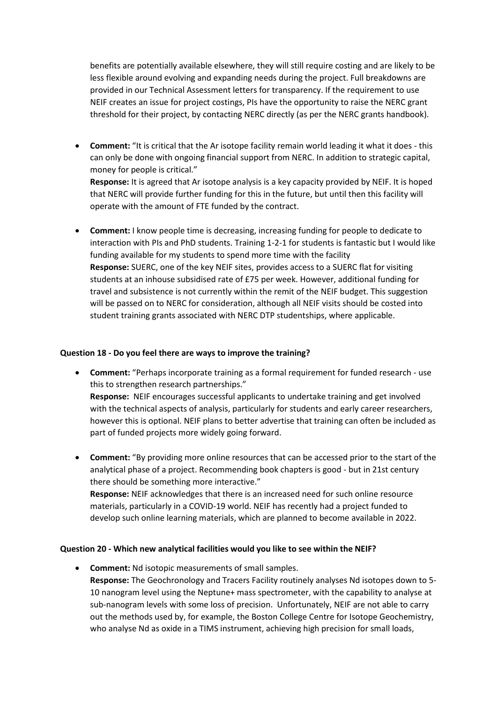benefits are potentially available elsewhere, they will still require costing and are likely to be less flexible around evolving and expanding needs during the project. Full breakdowns are provided in our Technical Assessment letters for transparency. If the requirement to use NEIF creates an issue for project costings, PIs have the opportunity to raise the NERC grant threshold for their project, by contacting NERC directly (as per the NERC grants handbook).

- **Comment:** "It is critical that the Ar isotope facility remain world leading it what it does this can only be done with ongoing financial support from NERC. In addition to strategic capital, money for people is critical." **Response:** It is agreed that Ar isotope analysis is a key capacity provided by NEIF. It is hoped that NERC will provide further funding for this in the future, but until then this facility will operate with the amount of FTE funded by the contract.
- **Comment:** I know people time is decreasing, increasing funding for people to dedicate to interaction with PIs and PhD students. Training 1-2-1 for students is fantastic but I would like funding available for my students to spend more time with the facility **Response:** SUERC, one of the key NEIF sites, provides access to a SUERC flat for visiting students at an inhouse subsidised rate of £75 per week. However, additional funding for travel and subsistence is not currently within the remit of the NEIF budget. This suggestion will be passed on to NERC for consideration, although all NEIF visits should be costed into student training grants associated with NERC DTP studentships, where applicable.

# **Question 18 - Do you feel there are ways to improve the training?**

- **Comment:** "Perhaps incorporate training as a formal requirement for funded research use this to strengthen research partnerships." **Response:** NEIF encourages successful applicants to undertake training and get involved with the technical aspects of analysis, particularly for students and early career researchers, however this is optional. NEIF plans to better advertise that training can often be included as part of funded projects more widely going forward.
- **Comment:** "By providing more online resources that can be accessed prior to the start of the analytical phase of a project. Recommending book chapters is good - but in 21st century there should be something more interactive." **Response:** NEIF acknowledges that there is an increased need for such online resource materials, particularly in a COVID-19 world. NEIF has recently had a project funded to develop such online learning materials, which are planned to become available in 2022.

# **Question 20 - Which new analytical facilities would you like to see within the NEIF?**

• **Comment:** Nd isotopic measurements of small samples. **Response:** The Geochronology and Tracers Facility routinely analyses Nd isotopes down to 5- 10 nanogram level using the Neptune+ mass spectrometer, with the capability to analyse at sub-nanogram levels with some loss of precision. Unfortunately, NEIF are not able to carry out the methods used by, for example, the Boston College Centre for Isotope Geochemistry, who analyse Nd as oxide in a TIMS instrument, achieving high precision for small loads,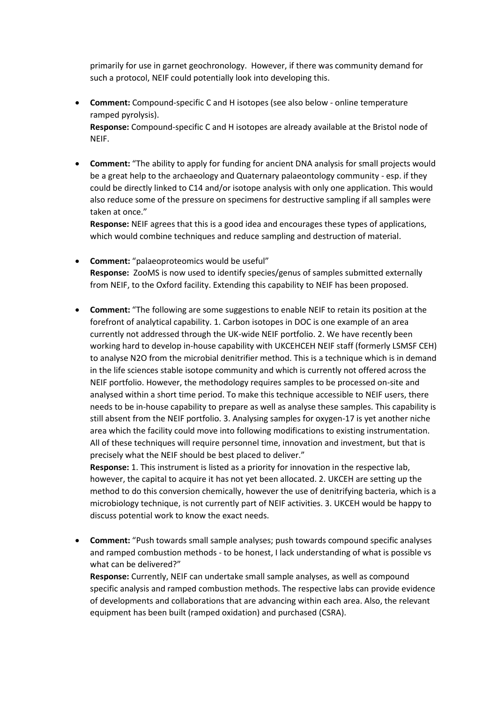primarily for use in garnet geochronology. However, if there was community demand for such a protocol, NEIF could potentially look into developing this.

- **Comment:** Compound-specific C and H isotopes (see also below online temperature ramped pyrolysis). **Response:** Compound-specific C and H isotopes are already available at the Bristol node of NEIF.
- **Comment:** "The ability to apply for funding for ancient DNA analysis for small projects would be a great help to the archaeology and Quaternary palaeontology community - esp. if they could be directly linked to C14 and/or isotope analysis with only one application. This would also reduce some of the pressure on specimens for destructive sampling if all samples were taken at once."

**Response:** NEIF agrees that this is a good idea and encourages these types of applications, which would combine techniques and reduce sampling and destruction of material.

- **Comment:** "palaeoproteomics would be useful" **Response:** ZooMS is now used to identify species/genus of samples submitted externally from NEIF, to the Oxford facility. Extending this capability to NEIF has been proposed.
- **Comment:** "The following are some suggestions to enable NEIF to retain its position at the forefront of analytical capability. 1. Carbon isotopes in DOC is one example of an area currently not addressed through the UK-wide NEIF portfolio. 2. We have recently been working hard to develop in-house capability with UKCEHCEH NEIF staff (formerly LSMSF CEH) to analyse N2O from the microbial denitrifier method. This is a technique which is in demand in the life sciences stable isotope community and which is currently not offered across the NEIF portfolio. However, the methodology requires samples to be processed on-site and analysed within a short time period. To make this technique accessible to NEIF users, there needs to be in-house capability to prepare as well as analyse these samples. This capability is still absent from the NEIF portfolio. 3. Analysing samples for oxygen-17 is yet another niche area which the facility could move into following modifications to existing instrumentation. All of these techniques will require personnel time, innovation and investment, but that is precisely what the NEIF should be best placed to deliver."

**Response:** 1. This instrument is listed as a priority for innovation in the respective lab, however, the capital to acquire it has not yet been allocated. 2. UKCEH are setting up the method to do this conversion chemically, however the use of denitrifying bacteria, which is a microbiology technique, is not currently part of NEIF activities. 3. UKCEH would be happy to discuss potential work to know the exact needs.

• **Comment:** "Push towards small sample analyses; push towards compound specific analyses and ramped combustion methods - to be honest, I lack understanding of what is possible vs what can be delivered?"

**Response:** Currently, NEIF can undertake small sample analyses, as well as compound specific analysis and ramped combustion methods. The respective labs can provide evidence of developments and collaborations that are advancing within each area. Also, the relevant equipment has been built (ramped oxidation) and purchased (CSRA).